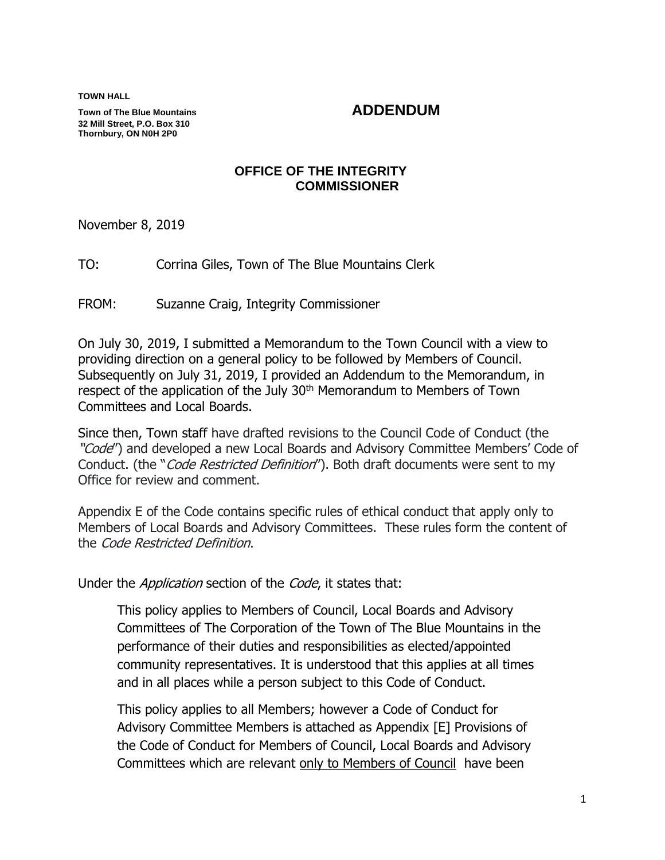**TOWN HALL**

**Town of The Blue Mountains ADDENDUM 32 Mill Street, P.O. Box 310 Thornbury, ON N0H 2P0**

### **OFFICE OF THE INTEGRITY COMMISSIONER**

November 8, 2019

TO: Corrina Giles, Town of The Blue Mountains Clerk

FROM: Suzanne Craig, Integrity Commissioner

On July 30, 2019, I submitted a Memorandum to the Town Council with a view to providing direction on a general policy to be followed by Members of Council. Subsequently on July 31, 2019, I provided an Addendum to the Memorandum, in respect of the application of the July 30<sup>th</sup> Memorandum to Members of Town Committees and Local Boards.

Since then, Town staff have drafted revisions to the Council Code of Conduct (the "Code") and developed a new Local Boards and Advisory Committee Members' Code of Conduct. (the "Code Restricted Definition"). Both draft documents were sent to my Office for review and comment.

Appendix E of the Code contains specific rules of ethical conduct that apply only to Members of Local Boards and Advisory Committees. These rules form the content of the Code Restricted Definition.

Under the *Application* section of the *Code*, it states that:

This policy applies to Members of Council, Local Boards and Advisory Committees of The Corporation of the Town of The Blue Mountains in the performance of their duties and responsibilities as elected/appointed community representatives. It is understood that this applies at all times and in all places while a person subject to this Code of Conduct.

This policy applies to all Members; however a Code of Conduct for Advisory Committee Members is attached as Appendix [E] Provisions of the Code of Conduct for Members of Council, Local Boards and Advisory Committees which are relevant only to Members of Council have been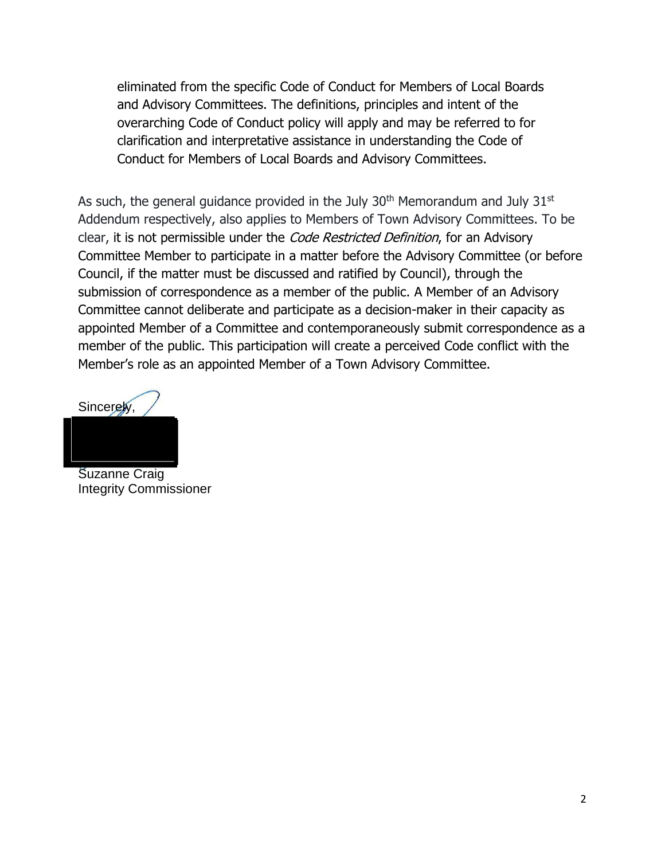eliminated from the specific Code of Conduct for Members of Local Boards and Advisory Committees. The definitions, principles and intent of the overarching Code of Conduct policy will apply and may be referred to for clarification and interpretative assistance in understanding the Code of Conduct for Members of Local Boards and Advisory Committees.

As such, the general guidance provided in the July  $30<sup>th</sup>$  Memorandum and July  $31<sup>st</sup>$ Addendum respectively, also applies to Members of Town Advisory Committees. To be clear, it is not permissible under the *Code Restricted Definition*, for an Advisory Committee Member to participate in a matter before the Advisory Committee (or before Council, if the matter must be discussed and ratified by Council), through the submission of correspondence as a member of the public. A Member of an Advisory Committee cannot deliberate and participate as a decision-maker in their capacity as appointed Member of a Committee and contemporaneously submit correspondence as a member of the public. This participation will create a perceived Code conflict with the Member's role as an appointed Member of a Town Advisory Committee.

Sincerely.

Suzanne Craig Integrity Commissioner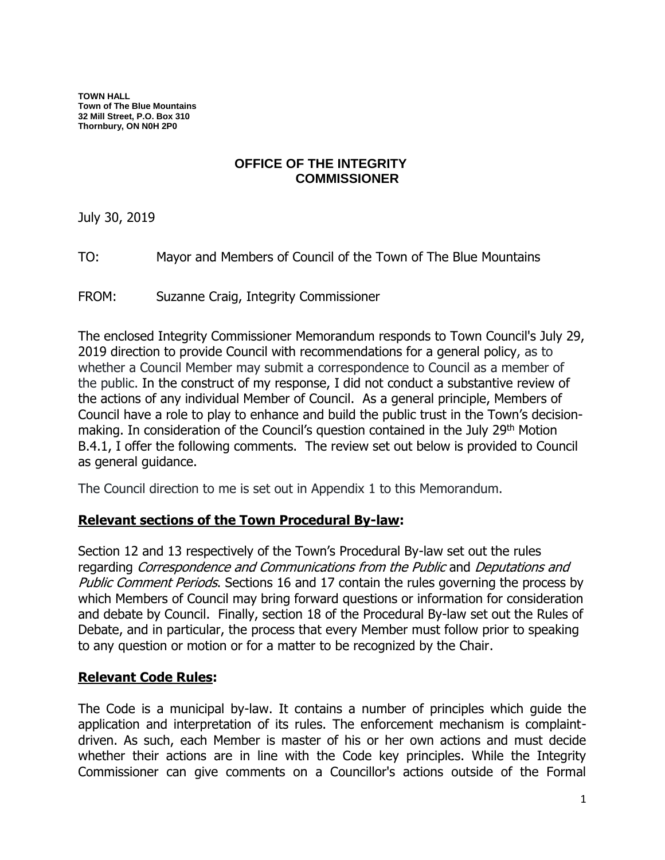**TOWN HALL Town of The Blue Mountains 32 Mill Street, P.O. Box 310 Thornbury, ON N0H 2P0**

## **OFFICE OF THE INTEGRITY COMMISSIONER**

July 30, 2019

TO: Mayor and Members of Council of the Town of The Blue Mountains

FROM: Suzanne Craig, Integrity Commissioner

The enclosed Integrity Commissioner Memorandum responds to Town Council's July 29, 2019 direction to provide Council with recommendations for a general policy, as to whether a Council Member may submit a correspondence to Council as a member of the public. In the construct of my response, I did not conduct a substantive review of the actions of any individual Member of Council. As a general principle, Members of Council have a role to play to enhance and build the public trust in the Town's decisionmaking. In consideration of the Council's question contained in the July 29<sup>th</sup> Motion B.4.1, I offer the following comments. The review set out below is provided to Council as general guidance.

The Council direction to me is set out in Appendix 1 to this Memorandum.

### **Relevant sections of the Town Procedural By-law:**

Section 12 and 13 respectively of the Town's Procedural By-law set out the rules regarding Correspondence and Communications from the Public and Deputations and Public Comment Periods. Sections 16 and 17 contain the rules governing the process by which Members of Council may bring forward questions or information for consideration and debate by Council. Finally, section 18 of the Procedural By-law set out the Rules of Debate, and in particular, the process that every Member must follow prior to speaking to any question or motion or for a matter to be recognized by the Chair.

## **Relevant Code Rules:**

The Code is a municipal by-law. It contains a number of principles which guide the application and interpretation of its rules. The enforcement mechanism is complaintdriven. As such, each Member is master of his or her own actions and must decide whether their actions are in line with the Code key principles. While the Integrity Commissioner can give comments on a Councillor's actions outside of the Formal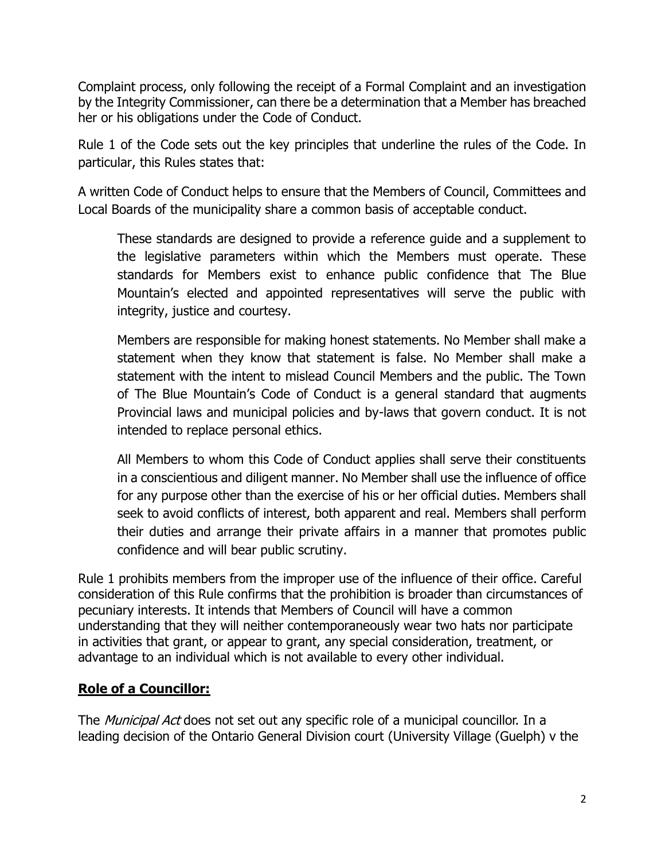Complaint process, only following the receipt of a Formal Complaint and an investigation by the Integrity Commissioner, can there be a determination that a Member has breached her or his obligations under the Code of Conduct.

Rule 1 of the Code sets out the key principles that underline the rules of the Code. In particular, this Rules states that:

A written Code of Conduct helps to ensure that the Members of Council, Committees and Local Boards of the municipality share a common basis of acceptable conduct.

These standards are designed to provide a reference guide and a supplement to the legislative parameters within which the Members must operate. These standards for Members exist to enhance public confidence that The Blue Mountain's elected and appointed representatives will serve the public with integrity, justice and courtesy.

Members are responsible for making honest statements. No Member shall make a statement when they know that statement is false. No Member shall make a statement with the intent to mislead Council Members and the public. The Town of The Blue Mountain's Code of Conduct is a general standard that augments Provincial laws and municipal policies and by-laws that govern conduct. It is not intended to replace personal ethics.

All Members to whom this Code of Conduct applies shall serve their constituents in a conscientious and diligent manner. No Member shall use the influence of office for any purpose other than the exercise of his or her official duties. Members shall seek to avoid conflicts of interest, both apparent and real. Members shall perform their duties and arrange their private affairs in a manner that promotes public confidence and will bear public scrutiny.

Rule 1 prohibits members from the improper use of the influence of their office. Careful consideration of this Rule confirms that the prohibition is broader than circumstances of pecuniary interests. It intends that Members of Council will have a common understanding that they will neither contemporaneously wear two hats nor participate in activities that grant, or appear to grant, any special consideration, treatment, or advantage to an individual which is not available to every other individual.

# **Role of a Councillor:**

The *Municipal Act* does not set out any specific role of a municipal councillor. In a leading decision of the Ontario General Division court (University Village (Guelph) v the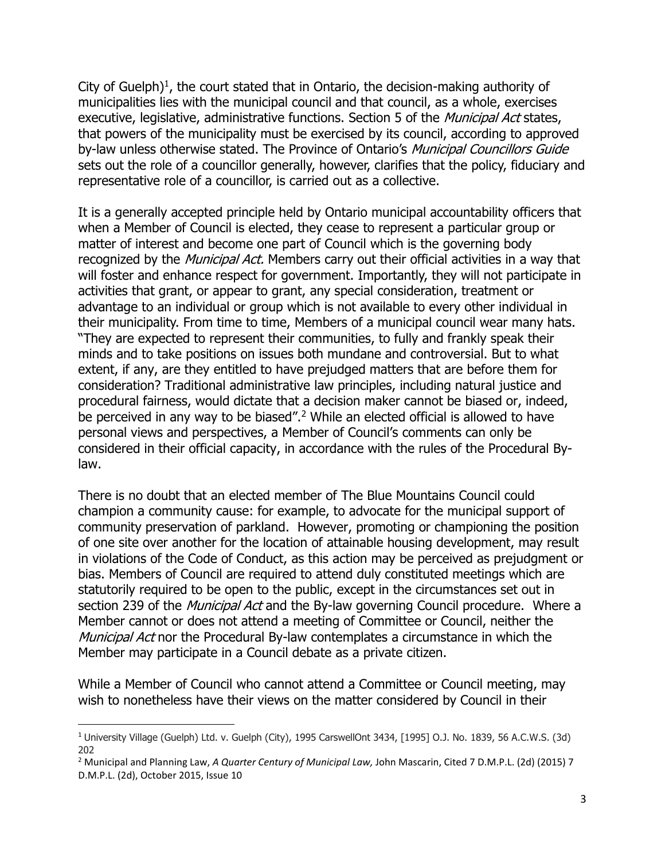City of Guelph) $<sup>1</sup>$ , the court stated that in Ontario, the decision-making authority of</sup> municipalities lies with the municipal council and that council, as a whole, exercises executive, legislative, administrative functions. Section 5 of the *Municipal Act* states, that powers of the municipality must be exercised by its council, according to approved by-law unless otherwise stated. The Province of Ontario's Municipal Councillors Guide sets out the role of a councillor generally, however, clarifies that the policy, fiduciary and representative role of a councillor, is carried out as a collective.

It is a generally accepted principle held by Ontario municipal accountability officers that when a Member of Council is elected, they cease to represent a particular group or matter of interest and become one part of Council which is the governing body recognized by the *Municipal Act*. Members carry out their official activities in a way that will foster and enhance respect for government. Importantly, they will not participate in activities that grant, or appear to grant, any special consideration, treatment or advantage to an individual or group which is not available to every other individual in their municipality. From time to time, Members of a municipal council wear many hats. "They are expected to represent their communities, to fully and frankly speak their minds and to take positions on issues both mundane and controversial. But to what extent, if any, are they entitled to have prejudged matters that are before them for consideration? Traditional administrative law principles, including natural justice and procedural fairness, would dictate that a decision maker cannot be biased or, indeed, be perceived in any way to be biased".<sup>2</sup> While an elected official is allowed to have personal views and perspectives, a Member of Council's comments can only be considered in their official capacity, in accordance with the rules of the Procedural Bylaw.

There is no doubt that an elected member of The Blue Mountains Council could champion a community cause: for example, to advocate for the municipal support of community preservation of parkland. However, promoting or championing the position of one site over another for the location of attainable housing development, may result in violations of the Code of Conduct, as this action may be perceived as prejudgment or bias. Members of Council are required to attend duly constituted meetings which are statutorily required to be open to the public, except in the circumstances set out in section 239 of the *Municipal Act* and the By-law governing Council procedure. Where a Member cannot or does not attend a meeting of Committee or Council, neither the Municipal Act nor the Procedural By-law contemplates a circumstance in which the Member may participate in a Council debate as a private citizen.

While a Member of Council who cannot attend a Committee or Council meeting, may wish to nonetheless have their views on the matter considered by Council in their

 $\overline{\phantom{a}}$ 

<sup>1</sup> University Village (Guelph) Ltd. v. Guelph (City), 1995 CarswellOnt 3434, [1995] O.J. No. 1839, 56 A.C.W.S. (3d) 202

<sup>2</sup> Municipal and Planning Law, *A Quarter Century of Municipal Law,* John Mascarin, Cited 7 D.M.P.L. (2d) (2015) 7 D.M.P.L. (2d), October 2015, Issue 10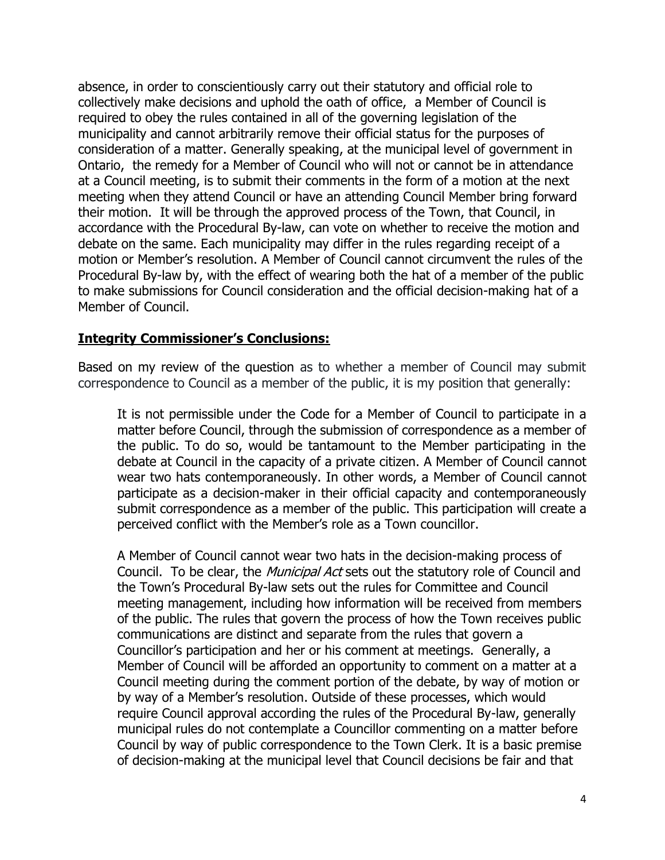absence, in order to conscientiously carry out their statutory and official role to collectively make decisions and uphold the oath of office, a Member of Council is required to obey the rules contained in all of the governing legislation of the municipality and cannot arbitrarily remove their official status for the purposes of consideration of a matter. Generally speaking, at the municipal level of government in Ontario, the remedy for a Member of Council who will not or cannot be in attendance at a Council meeting, is to submit their comments in the form of a motion at the next meeting when they attend Council or have an attending Council Member bring forward their motion. It will be through the approved process of the Town, that Council, in accordance with the Procedural By-law, can vote on whether to receive the motion and debate on the same. Each municipality may differ in the rules regarding receipt of a motion or Member's resolution. A Member of Council cannot circumvent the rules of the Procedural By-law by, with the effect of wearing both the hat of a member of the public to make submissions for Council consideration and the official decision-making hat of a Member of Council.

### **Integrity Commissioner's Conclusions:**

Based on my review of the question as to whether a member of Council may submit correspondence to Council as a member of the public, it is my position that generally:

It is not permissible under the Code for a Member of Council to participate in a matter before Council, through the submission of correspondence as a member of the public. To do so, would be tantamount to the Member participating in the debate at Council in the capacity of a private citizen. A Member of Council cannot wear two hats contemporaneously. In other words, a Member of Council cannot participate as a decision-maker in their official capacity and contemporaneously submit correspondence as a member of the public. This participation will create a perceived conflict with the Member's role as a Town councillor.

A Member of Council cannot wear two hats in the decision-making process of Council. To be clear, the *Municipal Act* sets out the statutory role of Council and the Town's Procedural By-law sets out the rules for Committee and Council meeting management, including how information will be received from members of the public. The rules that govern the process of how the Town receives public communications are distinct and separate from the rules that govern a Councillor's participation and her or his comment at meetings. Generally, a Member of Council will be afforded an opportunity to comment on a matter at a Council meeting during the comment portion of the debate, by way of motion or by way of a Member's resolution. Outside of these processes, which would require Council approval according the rules of the Procedural By-law, generally municipal rules do not contemplate a Councillor commenting on a matter before Council by way of public correspondence to the Town Clerk. It is a basic premise of decision-making at the municipal level that Council decisions be fair and that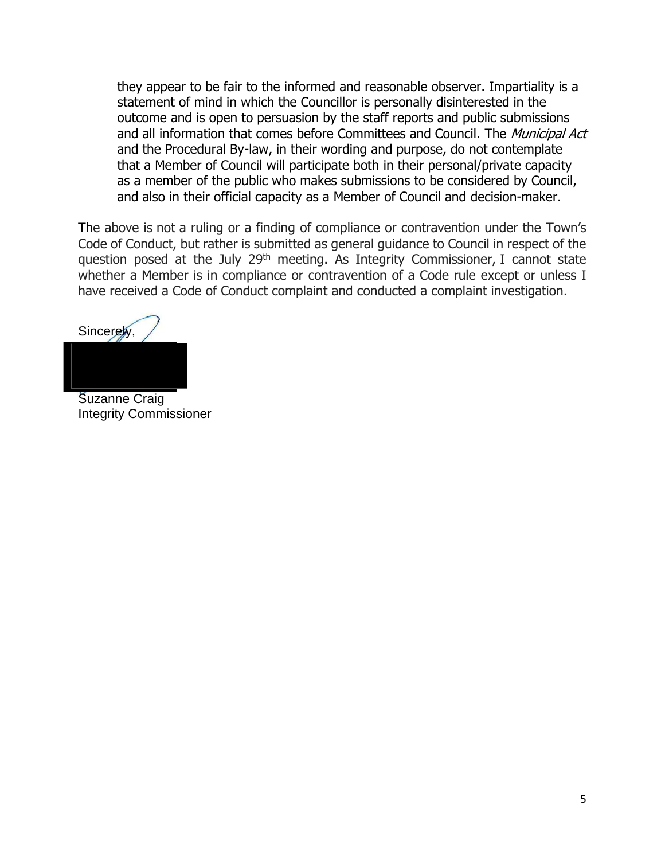they appear to be fair to the informed and reasonable observer. Impartiality is a statement of mind in which the Councillor is personally disinterested in the outcome and is open to persuasion by the staff reports and public submissions and all information that comes before Committees and Council. The Municipal Act and the Procedural By-law, in their wording and purpose, do not contemplate that a Member of Council will participate both in their personal/private capacity as a member of the public who makes submissions to be considered by Council, and also in their official capacity as a Member of Council and decision-maker.

The above is not a ruling or a finding of compliance or contravention under the Town's Code of Conduct, but rather is submitted as general guidance to Council in respect of the question posed at the July 29<sup>th</sup> meeting. As Integrity Commissioner, I cannot state whether a Member is in compliance or contravention of a Code rule except or unless I have received a Code of Conduct complaint and conducted a complaint investigation.

Sincerely,

Suzanne Craig Integrity Commissioner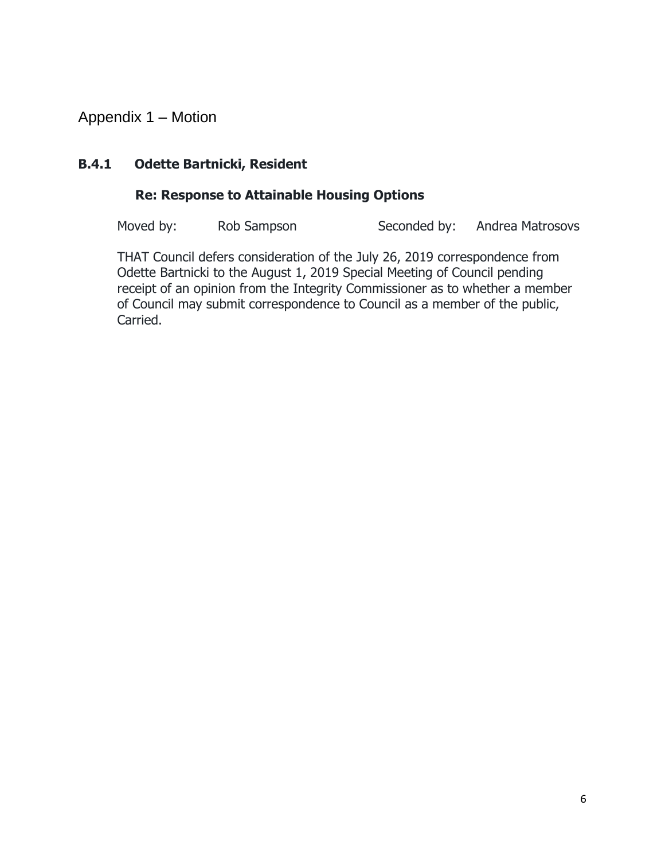Appendix 1 – Motion

# **B.4.1 Odette Bartnicki, Resident**

# **Re: Response to Attainable Housing Options**

Moved by: Rob Sampson Seconded by: Andrea Matrosovs

THAT Council defers consideration of the July 26, 2019 correspondence from Odette Bartnicki to the August 1, 2019 Special Meeting of Council pending receipt of an opinion from the Integrity Commissioner as to whether a member of Council may submit correspondence to Council as a member of the public, Carried.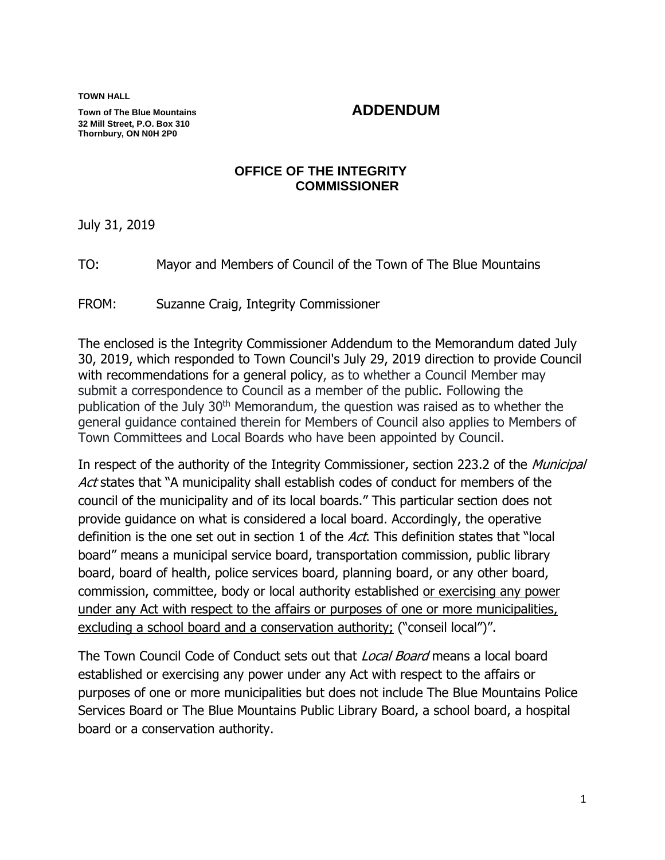**TOWN HALL**

**Town of The Blue Mountains ADDENDUM 32 Mill Street, P.O. Box 310 Thornbury, ON N0H 2P0**

### **OFFICE OF THE INTEGRITY COMMISSIONER**

July 31, 2019

TO: Mayor and Members of Council of the Town of The Blue Mountains

FROM: Suzanne Craig, Integrity Commissioner

The enclosed is the Integrity Commissioner Addendum to the Memorandum dated July 30, 2019, which responded to Town Council's July 29, 2019 direction to provide Council with recommendations for a general policy, as to whether a Council Member may submit a correspondence to Council as a member of the public. Following the publication of the July 30<sup>th</sup> Memorandum, the question was raised as to whether the general guidance contained therein for Members of Council also applies to Members of Town Committees and Local Boards who have been appointed by Council.

In respect of the authority of the Integrity Commissioner, section 223.2 of the *Municipal* Act states that "A municipality shall establish codes of conduct for members of the council of the municipality and of its local boards." This particular section does not provide guidance on what is considered a local board. Accordingly, the operative definition is the one set out in section 1 of the Act. This definition states that "local board" means a municipal service board, transportation commission, public library board, board of health, police services board, planning board, or any other board, commission, committee, body or local authority established or exercising any power under any Act with respect to the affairs or purposes of one or more municipalities, excluding a school board and a conservation authority; ("conseil local")".

The Town Council Code of Conduct sets out that *Local Board* means a local board established or exercising any power under any Act with respect to the affairs or purposes of one or more municipalities but does not include The Blue Mountains Police Services Board or The Blue Mountains Public Library Board, a school board, a hospital board or a conservation authority.